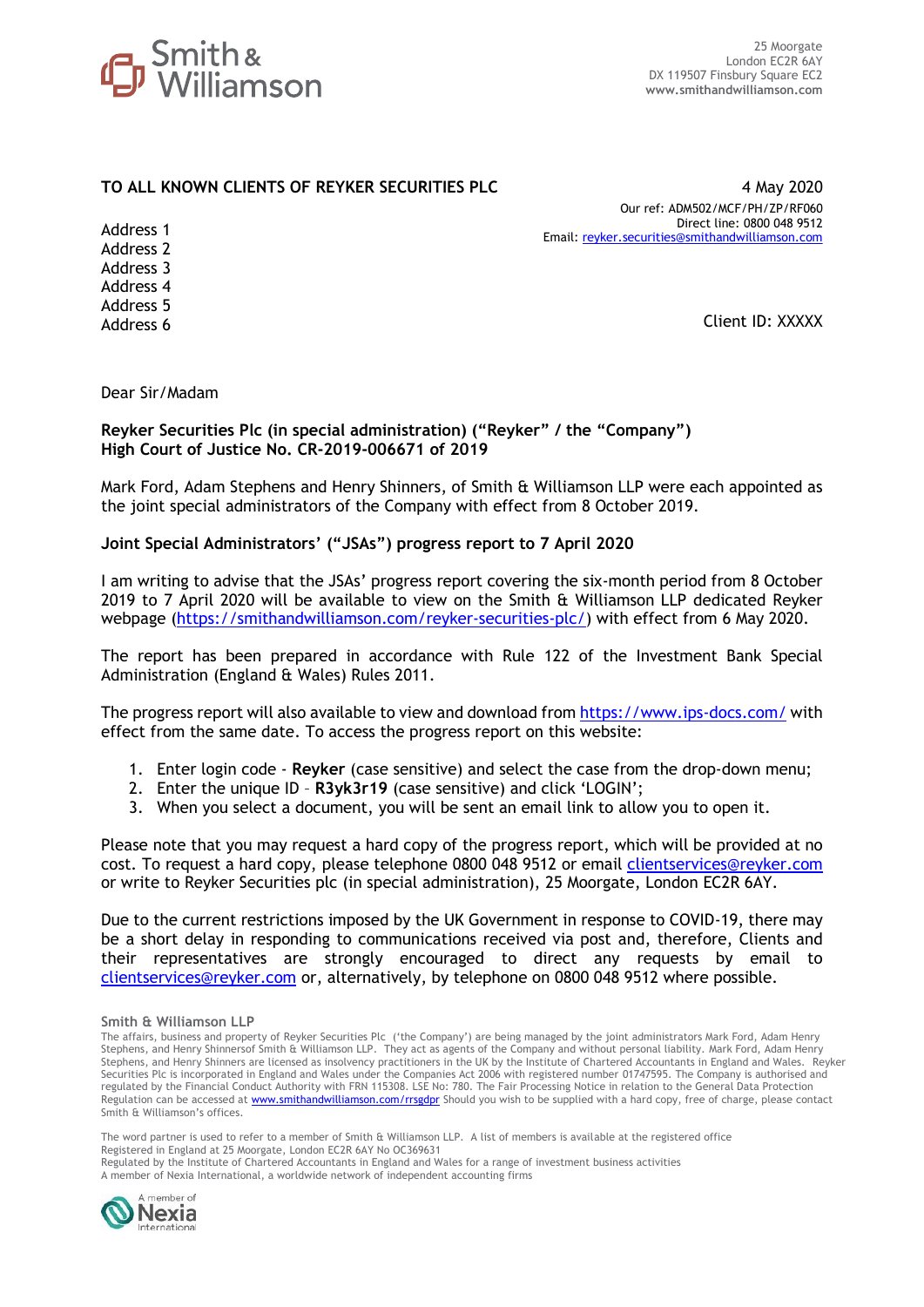

## **TO ALL KNOWN CLIENTS OF REYKER SECURITIES PLC** 4 May 2020

Our ref: ADM502/MCF/PH/ZP/RF060 Direct line: 0800 048 9512 Email: [reyker.securities@smithandwilliamson.com](mailto:reyker.securities@smithandwilliamson.com)

Address 1 Address 2 Address 3 Address 4 Address 5 Address 6

Client ID: XXXXX

Dear Sir/Madam

### **Reyker Securities Plc (in special administration) ("Reyker" / the "Company") High Court of Justice No. CR-2019-006671 of 2019**

Mark Ford, Adam Stephens and Henry Shinners, of Smith & Williamson LLP were each appointed as the joint special administrators of the Company with effect from 8 October 2019.

### **Joint Special Administrators' ("JSAs") progress report to 7 April 2020**

I am writing to advise that the JSAs' progress report covering the six-month period from 8 October 2019 to 7 April 2020 will be available to view on the Smith & Williamson LLP dedicated Reyker webpage [\(https://smithandwilliamson.com/reyker-securities-plc/\)](https://smithandwilliamson.com/reyker-securities-plc/) with effect from 6 May 2020.

The report has been prepared in accordance with Rule 122 of the Investment Bank Special Administration (England & Wales) Rules 2011.

The progress report will also available to view and download fro[m https://www.ips-docs.com/](https://www.ips-docs.com/) with effect from the same date. To access the progress report on this website:

- 1. Enter login code **Reyker** (case sensitive) and select the case from the drop-down menu;
- 2. Enter the unique ID **R3yk3r19** (case sensitive) and click 'LOGIN';
- 3. When you select a document, you will be sent an email link to allow you to open it.

Please note that you may request a hard copy of the progress report, which will be provided at no cost. To request a hard copy, please telephone 0800 048 9512 or email clientservices@reyker.com or write to Reyker Securities plc (in special administration), 25 Moorgate, London EC2R 6AY.

Due to the current restrictions imposed by the UK Government in response to COVID-19, there may be a short delay in responding to communications received via post and, therefore, Clients and their representatives are strongly encouraged to direct any requests by email to clientservices@reyker.com or, alternatively, by telephone on 0800 048 9512 where possible.

The word partner is used to refer to a member of Smith & Williamson LLP. A list of members is available at the registered office Registered in England at 25 Moorgate, London EC2R 6AY No OC369631 Regulated by the Institute of Chartered Accountants in England and Wales for a range of investment business activities A member of Nexia International, a worldwide network of independent accounting firms



**Smith & Williamson LLP**

The affairs, business and property of Reyker Securities Plc ('the Company') are being managed by the joint administrators Mark Ford, Adam Henry Stephens, and Henry Shinnersof Smith & Williamson LLP. They act as agents of the Company and without personal liability. Mark Ford, Adam Henry Stephens, and Henry Shinners are licensed as insolvency practitioners in the UK by the Institute of Chartered Accountants in England and Wales. Reyker Securities Plc is incorporated in England and Wales under the Companies Act 2006 with registered number 01747595. The Company is authorised and regulated by the Financial Conduct Authority with FRN 115308. LSE No: 780. The Fair Processing Notice in relation to the General Data Protection Regulation can be accessed at **www.smithandwilliamson.com/rrsgdpr** Should you wish to be supplied with a hard copy, free of charge, please contact Smith & Williamson's offices.